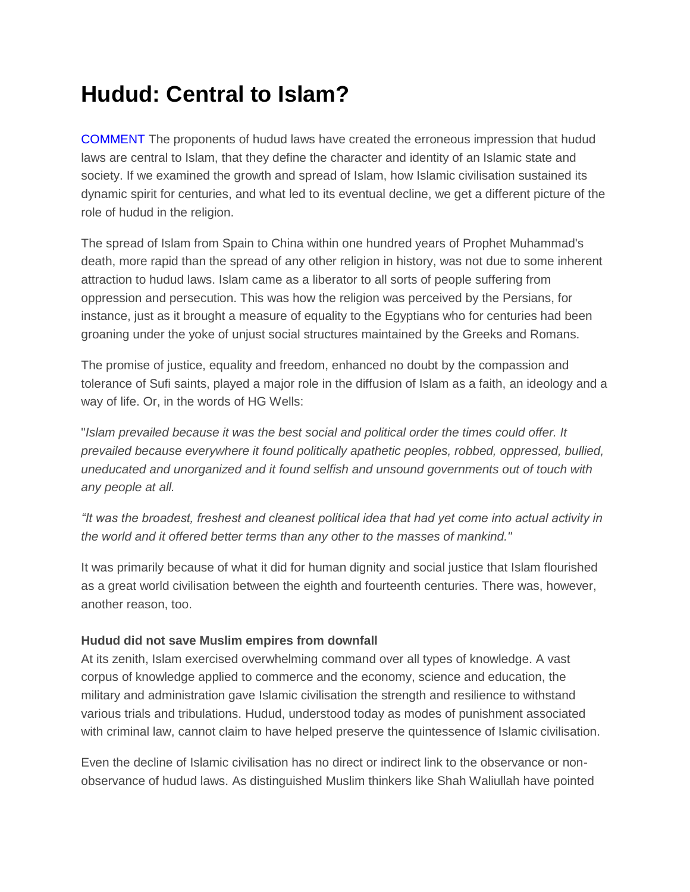# **Hudud: Central to Islam?**

COMMENT The proponents of hudud laws have created the erroneous impression that hudud laws are central to Islam, that they define the character and identity of an Islamic state and society. If we examined the growth and spread of Islam, how Islamic civilisation sustained its dynamic spirit for centuries, and what led to its eventual decline, we get a different picture of the role of hudud in the religion.

The spread of Islam from Spain to China within one hundred years of Prophet Muhammad's death, more rapid than the spread of any other religion in history, was not due to some inherent attraction to hudud laws. Islam came as a liberator to all sorts of people suffering from oppression and persecution. This was how the religion was perceived by the Persians, for instance, just as it brought a measure of equality to the Egyptians who for centuries had been groaning under the yoke of unjust social structures maintained by the Greeks and Romans.

The promise of justice, equality and freedom, enhanced no doubt by the compassion and tolerance of Sufi saints, played a major role in the diffusion of Islam as a faith, an ideology and a way of life. Or, in the words of HG Wells:

"*Islam prevailed because it was the best social and political order the times could offer. It prevailed because everywhere it found politically apathetic peoples, robbed, oppressed, bullied, uneducated and unorganized and it found selfish and unsound governments out of touch with any people at all.*

*"It was the broadest, freshest and cleanest political idea that had yet come into actual activity in the world and it offered better terms than any other to the masses of mankind."*

It was primarily because of what it did for human dignity and social justice that Islam flourished as a great world civilisation between the eighth and fourteenth centuries. There was, however, another reason, too.

## **Hudud did not save Muslim empires from downfall**

At its zenith, Islam exercised overwhelming command over all types of knowledge. A vast corpus of knowledge applied to commerce and the economy, science and education, the military and administration gave Islamic civilisation the strength and resilience to withstand various trials and tribulations. Hudud, understood today as modes of punishment associated with criminal law, cannot claim to have helped preserve the quintessence of Islamic civilisation.

Even the decline of Islamic civilisation has no direct or indirect link to the observance or nonobservance of hudud laws. As distinguished Muslim thinkers like Shah Waliullah have pointed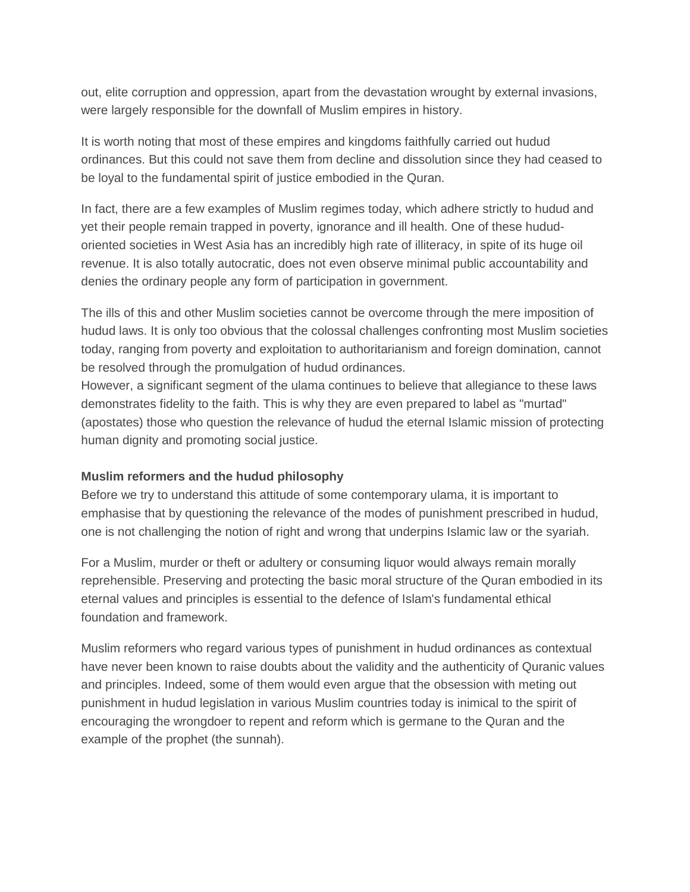out, elite corruption and oppression, apart from the devastation wrought by external invasions, were largely responsible for the downfall of Muslim empires in history.

It is worth noting that most of these empires and kingdoms faithfully carried out hudud ordinances. But this could not save them from decline and dissolution since they had ceased to be loyal to the fundamental spirit of justice embodied in the Quran.

In fact, there are a few examples of Muslim regimes today, which adhere strictly to hudud and yet their people remain trapped in poverty, ignorance and ill health. One of these hududoriented societies in West Asia has an incredibly high rate of illiteracy, in spite of its huge oil revenue. It is also totally autocratic, does not even observe minimal public accountability and denies the ordinary people any form of participation in government.

The ills of this and other Muslim societies cannot be overcome through the mere imposition of hudud laws. It is only too obvious that the colossal challenges confronting most Muslim societies today, ranging from poverty and exploitation to authoritarianism and foreign domination, cannot be resolved through the promulgation of hudud ordinances.

However, a significant segment of the ulama continues to believe that allegiance to these laws demonstrates fidelity to the faith. This is why they are even prepared to label as "murtad" (apostates) those who question the relevance of hudud the eternal Islamic mission of protecting human dignity and promoting social justice.

### **Muslim reformers and the hudud philosophy**

Before we try to understand this attitude of some contemporary ulama, it is important to emphasise that by questioning the relevance of the modes of punishment prescribed in hudud, one is not challenging the notion of right and wrong that underpins Islamic law or the syariah.

For a Muslim, murder or theft or adultery or consuming liquor would always remain morally reprehensible. Preserving and protecting the basic moral structure of the Quran embodied in its eternal values and principles is essential to the defence of Islam's fundamental ethical foundation and framework.

Muslim reformers who regard various types of punishment in hudud ordinances as contextual have never been known to raise doubts about the validity and the authenticity of Quranic values and principles. Indeed, some of them would even argue that the obsession with meting out punishment in hudud legislation in various Muslim countries today is inimical to the spirit of encouraging the wrongdoer to repent and reform which is germane to the Quran and the example of the prophet (the sunnah).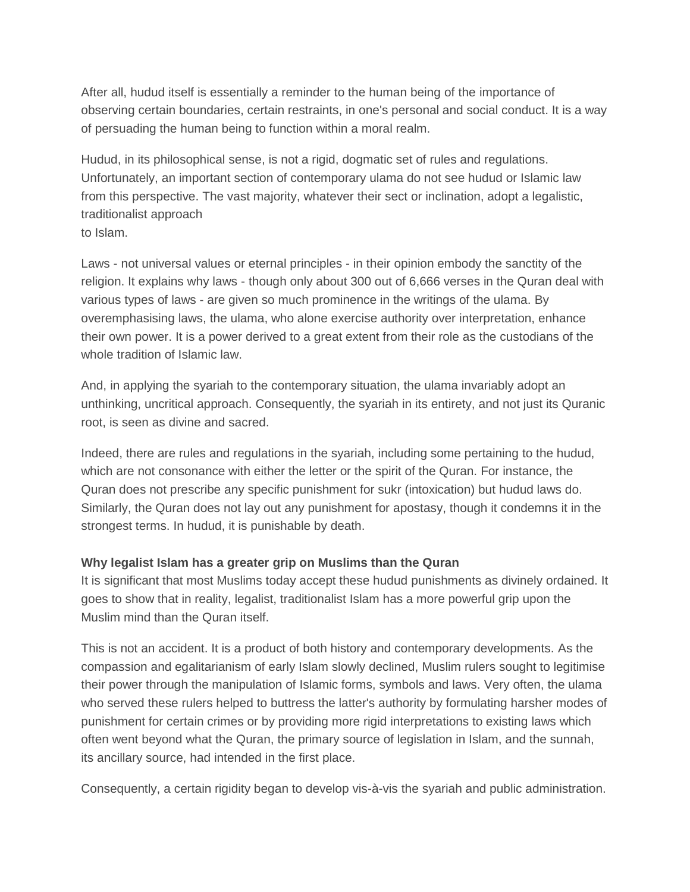After all, hudud itself is essentially a reminder to the human being of the importance of observing certain boundaries, certain restraints, in one's personal and social conduct. It is a way of persuading the human being to function within a moral realm.

Hudud, in its philosophical sense, is not a rigid, dogmatic set of rules and regulations. Unfortunately, an important section of contemporary ulama do not see hudud or Islamic law from this perspective. The vast majority, whatever their sect or inclination, adopt a legalistic, traditionalist approach

to Islam.

Laws - not universal values or eternal principles - in their opinion embody the sanctity of the religion. It explains why laws - though only about 300 out of 6,666 verses in the Quran deal with various types of laws - are given so much prominence in the writings of the ulama. By overemphasising laws, the ulama, who alone exercise authority over interpretation, enhance their own power. It is a power derived to a great extent from their role as the custodians of the whole tradition of Islamic law.

And, in applying the syariah to the contemporary situation, the ulama invariably adopt an unthinking, uncritical approach. Consequently, the syariah in its entirety, and not just its Quranic root, is seen as divine and sacred.

Indeed, there are rules and regulations in the syariah, including some pertaining to the hudud, which are not consonance with either the letter or the spirit of the Quran. For instance, the Quran does not prescribe any specific punishment for sukr (intoxication) but hudud laws do. Similarly, the Quran does not lay out any punishment for apostasy, though it condemns it in the strongest terms. In hudud, it is punishable by death.

### **Why legalist Islam has a greater grip on Muslims than the Quran**

It is significant that most Muslims today accept these hudud punishments as divinely ordained. It goes to show that in reality, legalist, traditionalist Islam has a more powerful grip upon the Muslim mind than the Quran itself.

This is not an accident. It is a product of both history and contemporary developments. As the compassion and egalitarianism of early Islam slowly declined, Muslim rulers sought to legitimise their power through the manipulation of Islamic forms, symbols and laws. Very often, the ulama who served these rulers helped to buttress the latter's authority by formulating harsher modes of punishment for certain crimes or by providing more rigid interpretations to existing laws which often went beyond what the Quran, the primary source of legislation in Islam, and the sunnah, its ancillary source, had intended in the first place.

Consequently, a certain rigidity began to develop vis-à-vis the syariah and public administration.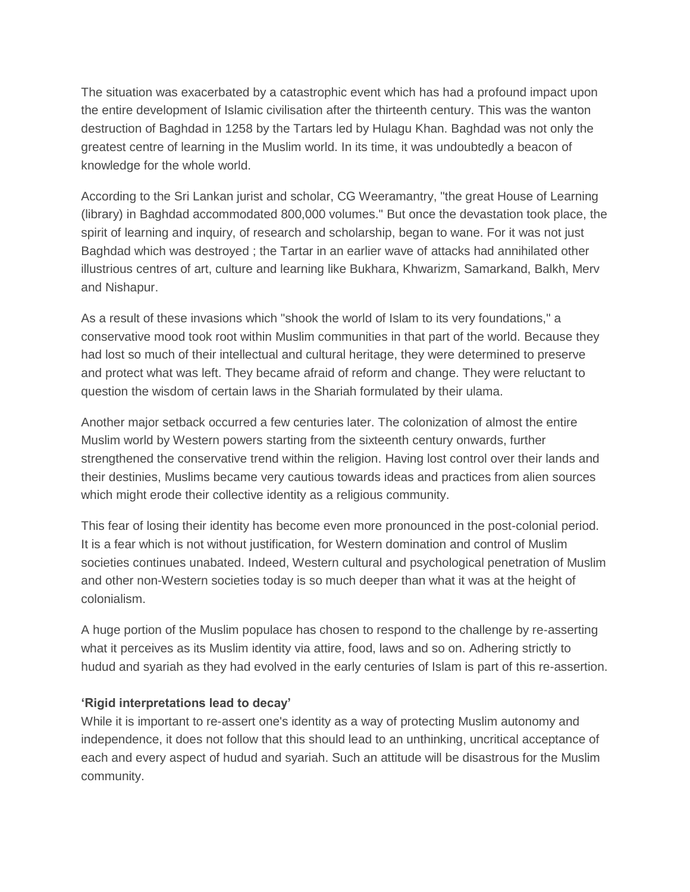The situation was exacerbated by a catastrophic event which has had a profound impact upon the entire development of Islamic civilisation after the thirteenth century. This was the wanton destruction of Baghdad in 1258 by the Tartars led by Hulagu Khan. Baghdad was not only the greatest centre of learning in the Muslim world. In its time, it was undoubtedly a beacon of knowledge for the whole world.

According to the Sri Lankan jurist and scholar, CG Weeramantry, "the great House of Learning (library) in Baghdad accommodated 800,000 volumes." But once the devastation took place, the spirit of learning and inquiry, of research and scholarship, began to wane. For it was not just Baghdad which was destroyed ; the Tartar in an earlier wave of attacks had annihilated other illustrious centres of art, culture and learning like Bukhara, Khwarizm, Samarkand, Balkh, Merv and Nishapur.

As a result of these invasions which "shook the world of Islam to its very foundations," a conservative mood took root within Muslim communities in that part of the world. Because they had lost so much of their intellectual and cultural heritage, they were determined to preserve and protect what was left. They became afraid of reform and change. They were reluctant to question the wisdom of certain laws in the Shariah formulated by their ulama.

Another major setback occurred a few centuries later. The colonization of almost the entire Muslim world by Western powers starting from the sixteenth century onwards, further strengthened the conservative trend within the religion. Having lost control over their lands and their destinies, Muslims became very cautious towards ideas and practices from alien sources which might erode their collective identity as a religious community.

This fear of losing their identity has become even more pronounced in the post-colonial period. It is a fear which is not without justification, for Western domination and control of Muslim societies continues unabated. Indeed, Western cultural and psychological penetration of Muslim and other non-Western societies today is so much deeper than what it was at the height of colonialism.

A huge portion of the Muslim populace has chosen to respond to the challenge by re-asserting what it perceives as its Muslim identity via attire, food, laws and so on. Adhering strictly to hudud and syariah as they had evolved in the early centuries of Islam is part of this re-assertion.

### **'Rigid interpretations lead to decay'**

While it is important to re-assert one's identity as a way of protecting Muslim autonomy and independence, it does not follow that this should lead to an unthinking, uncritical acceptance of each and every aspect of hudud and syariah. Such an attitude will be disastrous for the Muslim community.